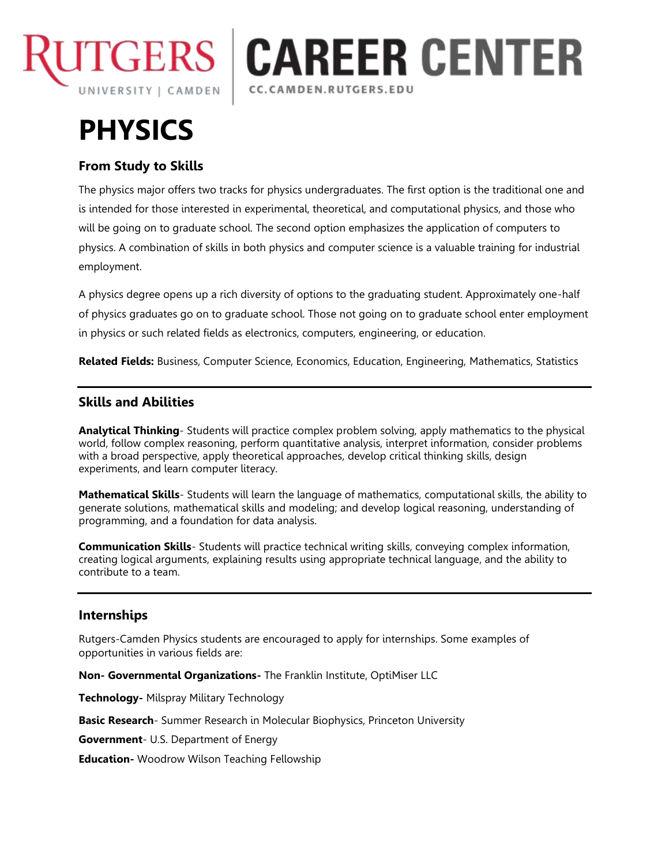

# **CAREER CENTER** CC.CAMDEN.RUTGERS.EDU

# **PHYSICS**

## **From Study to Skills**

The physics major offers two tracks for physics undergraduates. The first option is the traditional one and is intended for those interested in experimental, theoretical, and computational physics, and those who will be going on to graduate school. The second option emphasizes the application of computers to physics. A combination of skills in both physics and computer science is a valuable training for industrial employment.

A physics degree opens up a rich diversity of options to the graduating student. Approximately one-half of physics graduates go on to graduate school. Those not going on to graduate school enter employment in physics or such related fields as electronics, computers, engineering, or education.

**Related Fields:** Business, Computer Science, Economics, Education, Engineering, Mathematics, Statistics

### **Skills and Abilities**

**Analytical Thinking**- Students will practice complex problem solving, apply mathematics to the physical world, follow complex reasoning, perform quantitative analysis, interpret information, consider problems with a broad perspective, apply theoretical approaches, develop critical thinking skills, design experiments, and learn computer literacy.

**Mathematical Skills**- Students will learn the language of mathematics, computational skills, the ability to generate solutions, mathematical skills and modeling; and develop logical reasoning, understanding of programming, and a foundation for data analysis.

**Communication Skills**- Students will practice technical writing skills, conveying complex information, creating logical arguments, explaining results using appropriate technical language, and the ability to contribute to a team.

#### **Internships**

Rutgers-Camden Physics students are encouraged to apply for internships. Some examples of opportunities in various fields are:

**Non- Governmental Organizations-** The Franklin Institute, OptiMiser LLC

**Technology-** Milspray Military Technology

**Basic Research**- Summer Research in Molecular Biophysics, Princeton University

**Government**- U.S. Department of Energy

**Education-** Woodrow Wilson Teaching Fellowship